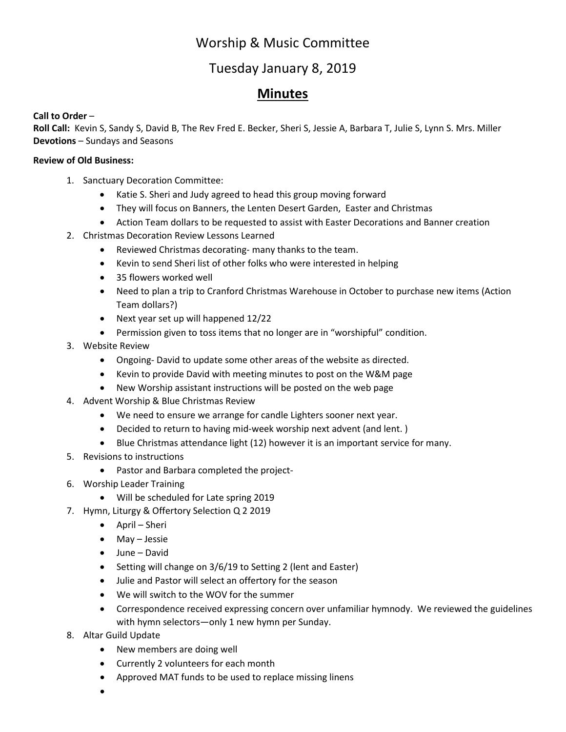## Worship & Music Committee

### Tuesday January 8, 2019

### **Minutes**

### **Call to Order** –

**Roll Call:** Kevin S, Sandy S, David B, The Rev Fred E. Becker, Sheri S, Jessie A, Barbara T, Julie S, Lynn S. Mrs. Miller **Devotions** – Sundays and Seasons

#### **Review of Old Business:**

- 1. Sanctuary Decoration Committee:
	- Katie S. Sheri and Judy agreed to head this group moving forward
	- They will focus on Banners, the Lenten Desert Garden, Easter and Christmas
	- Action Team dollars to be requested to assist with Easter Decorations and Banner creation
- 2. Christmas Decoration Review Lessons Learned
	- Reviewed Christmas decorating- many thanks to the team.
	- Kevin to send Sheri list of other folks who were interested in helping
	- 35 flowers worked well
	- Need to plan a trip to Cranford Christmas Warehouse in October to purchase new items (Action Team dollars?)
	- Next year set up will happened 12/22
	- Permission given to toss items that no longer are in "worshipful" condition.
- 3. Website Review
	- Ongoing- David to update some other areas of the website as directed.
	- Kevin to provide David with meeting minutes to post on the W&M page
	- New Worship assistant instructions will be posted on the web page
- 4. Advent Worship & Blue Christmas Review
	- We need to ensure we arrange for candle Lighters sooner next year.
	- Decided to return to having mid-week worship next advent (and lent. )
	- Blue Christmas attendance light (12) however it is an important service for many.
- 5. Revisions to instructions
	- Pastor and Barbara completed the project-
- 6. Worship Leader Training
	- Will be scheduled for Late spring 2019
- 7. Hymn, Liturgy & Offertory Selection Q 2 2019
	- April Sheri
	- May Jessie
	- June David
	- Setting will change on 3/6/19 to Setting 2 (lent and Easter)
	- Julie and Pastor will select an offertory for the season
	- We will switch to the WOV for the summer
	- Correspondence received expressing concern over unfamiliar hymnody. We reviewed the guidelines with hymn selectors—only 1 new hymn per Sunday.
- 8. Altar Guild Update
	- New members are doing well
	- Currently 2 volunteers for each month
	- Approved MAT funds to be used to replace missing linens
	- •